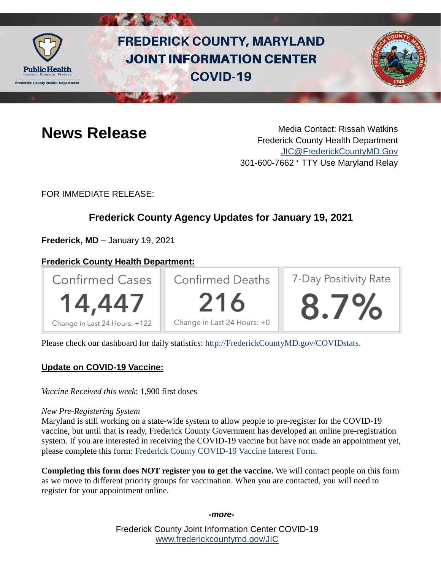

# **FREDERICK COUNTY, MARYLAND JOINT INFORMATION CENTER COVID-19**



**News Release** Media Contact: Rissah Watkins Frederick County Health Department [JIC@FrederickCountyMD.Gov](mailto:JIC@FrederickCountyMD.Gov) 301-600-7662 • TTY Use Maryland Relay

FOR IMMEDIATE RELEASE:

## **Frederick County Agency Updates for January 19, 2021**

**Frederick, MD –** January 19, 2021

## **Frederick County Health Department:**



Please check our dashboard for daily statistics: [http://FrederickCountyMD.gov/COVIDstats.](http://frederickcountymd.gov/COVIDstats)

## **Update on COVID-19 Vaccine:**

*Vaccine Received this week*: 1,900 first doses

#### *New Pre-Registering System*

Maryland is still working on a state-wide system to allow people to pre-register for the COVID-19 vaccine, but until that is ready, Frederick County Government has developed an online pre-registration system. If you are interested in receiving the COVID-19 vaccine but have not made an appointment yet, please complete this form: [Frederick County COVID-19 Vaccine Interest Form.](https://forms.office.com/Pages/ResponsePage.aspx?id=LTTGSAY4Q0id7GpAsbuHNwWNYN1Yz5tBp0XTFg0s7vVUMENLRVNLTkJJT1gyMkFaOTVLT0xSUTUwViQlQCN0PWcu)

**Completing this form does NOT register you to get the vaccine.** We will contact people on this form as we move to different priority groups for vaccination. When you are contacted, you will need to register for your appointment online.

*-more-*

Frederick County Joint Information Center COVID-19 [www.frederickcountymd.gov/JIC](https://frederickcountymd.gov/JIC)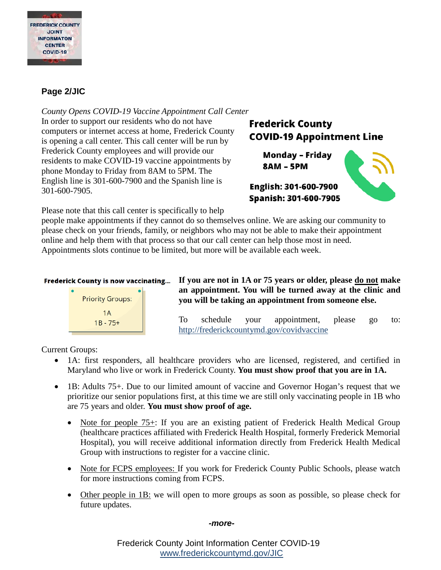

## **Page 2/JIC**

*County Opens COVID-19 Vaccine Appointment Call Center* In order to support our residents who do not have computers or internet access at home, Frederick County is opening a call center. This call center will be run by Frederick County employees and will provide our residents to make COVID-19 vaccine appointments by phone Monday to Friday from 8AM to 5PM. The English line is 301-600-7900 and the Spanish line is 301-600-7905.

## **Frederick County COVID-19 Appointment Line**

**Monday - Friday 8AM - 5PM** 



Please note that this call center is specifically to help

people make appointments if they cannot do so themselves online. We are asking our community to please check on your friends, family, or neighbors who may not be able to make their appointment online and help them with that process so that our call center can help those most in need. Appointments slots continue to be limited, but more will be available each week.

#### **Frederick County is now vaccinating...**



**If you are not in 1A or 75 years or older, please do not make an appointment. You will be turned away at the clinic and you will be taking an appointment from someone else.**

To schedule your appointment, please go to: <http://frederickcountymd.gov/covidvaccine>

Current Groups:

- 1A: first responders, all healthcare providers who are licensed, registered, and certified in Maryland who live or work in Frederick County. **You must show proof that you are in 1A.**
- 1B: Adults 75+. Due to our limited amount of vaccine and Governor Hogan's request that we prioritize our senior populations first, at this time we are still only vaccinating people in 1B who are 75 years and older. **You must show proof of age.**
	- Note for people 75+: If you are an existing patient of Frederick Health Medical Group (healthcare practices affiliated with Frederick Health Hospital, formerly Frederick Memorial Hospital), you will receive additional information directly from Frederick Health Medical Group with instructions to register for a vaccine clinic.
	- Note for FCPS employees: If you work for Frederick County Public Schools, please watch for more instructions coming from FCPS.
	- Other people in 1B: we will open to more groups as soon as possible, so please check for future updates.

#### *-more-*

Frederick County Joint Information Center COVID-19 [www.frederickcountymd.gov/JIC](https://frederickcountymd.gov/JIC)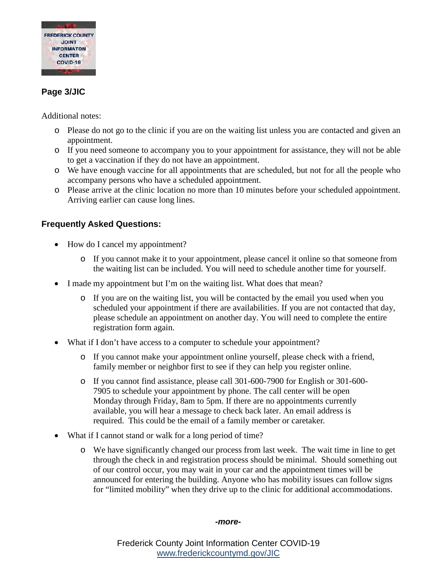

## **Page 3/JIC**

Additional notes:

- o Please do not go to the clinic if you are on the waiting list unless you are contacted and given an appointment.
- o If you need someone to accompany you to your appointment for assistance, they will not be able to get a vaccination if they do not have an appointment.
- o We have enough vaccine for all appointments that are scheduled, but not for all the people who accompany persons who have a scheduled appointment.
- o Please arrive at the clinic location no more than 10 minutes before your scheduled appointment. Arriving earlier can cause long lines.

## **Frequently Asked Questions:**

- How do I cancel my appointment?
	- o If you cannot make it to your appointment, please cancel it online so that someone from the waiting list can be included. You will need to schedule another time for yourself.
- I made my appointment but I'm on the waiting list. What does that mean?
	- o If you are on the waiting list, you will be contacted by the email you used when you scheduled your appointment if there are availabilities. If you are not contacted that day, please schedule an appointment on another day. You will need to complete the entire registration form again.
- What if I don't have access to a computer to schedule your appointment?
	- o If you cannot make your appointment online yourself, please check with a friend, family member or neighbor first to see if they can help you register online.
	- o If you cannot find assistance, please call 301-600-7900 for English or 301-600- 7905 to schedule your appointment by phone. The call center will be open Monday through Friday, 8am to 5pm. If there are no appointments currently available, you will hear a message to check back later. An email address is required. This could be the email of a family member or caretaker.
- What if I cannot stand or walk for a long period of time?
	- o We have significantly changed our process from last week. The wait time in line to get through the check in and registration process should be minimal. Should something out of our control occur, you may wait in your car and the appointment times will be announced for entering the building. Anyone who has mobility issues can follow signs for "limited mobility" when they drive up to the clinic for additional accommodations.

#### *-more-*